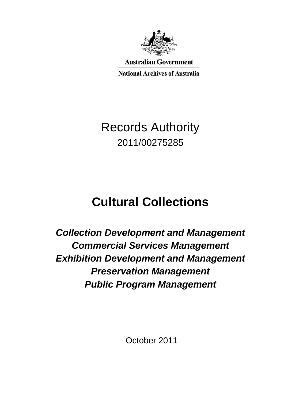

**Australian Government National Archives of Australia** 

Records Authority 2011/00275285

# **Cultural Collections**

*Collection Development and Management Commercial Services Management Exhibition Development and Management Preservation Management Public Program Management*

October 2011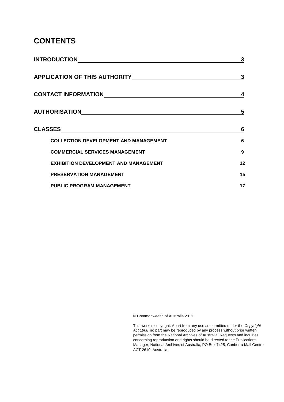### **CONTENTS**

| <b>INTRODUCTION</b>                                                                                                                     | 3  |
|-----------------------------------------------------------------------------------------------------------------------------------------|----|
| <b>APPLICATION OF THIS AUTHORITY</b>                                                                                                    | 3  |
| <b>CONTACT INFORMATION</b>                                                                                                              | 4  |
| AUTHORISATION                                                                                                                           | 5  |
| <b>CLASSES</b><br><u> 1980 - Johann Stoff, deutscher Stoff, der Stoff, der Stoff, der Stoff, der Stoff, der Stoff, der Stoff, der S</u> | 6  |
| <b>COLLECTION DEVELOPMENT AND MANAGEMENT</b>                                                                                            | 6  |
| <b>COMMERCIAL SERVICES MANAGEMENT</b>                                                                                                   | 9  |
| <b>EXHIBITION DEVELOPMENT AND MANAGEMENT</b>                                                                                            | 12 |
|                                                                                                                                         |    |
| <b>PRESERVATION MANAGEMENT</b>                                                                                                          | 15 |

© Commonwealth of Australia 2011

 This work is copyright. Apart from any use as permitted under the *Copyright Act 1968,* no part may be reproduced by any process without prior written permission from the National Archives of Australia. Requests and inquiries concerning reproduction and rights should be directed to the Publications Manager, National Archives of Australia, PO Box 7425, Canberra Mail Centre ACT 2610, Australia.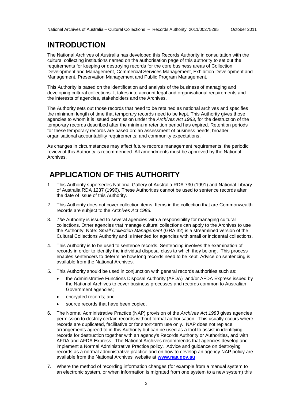### **INTRODUCTION**

 The National Archives of Australia has developed this Records Authority in consultation with the cultural collecting institutions named on the authorisation page of this authority to set out the requirements for keeping or destroying records for the core business areas of Collection Development and Management, Commercial Services Management, Exhibition Development and Management, Preservation Management and Public Program Management.

 This Authority is based on the identification and analysis of the business of managing and developing cultural collections. It takes into account legal and organisational requirements and the interests of agencies, stakeholders and the Archives.

 the minimum length of time that temporary records need to be kept. This Authority gives those temporary records described after the minimum retention period has expired. Retention periods organisational accountability requirements; and community expectations. The Authority sets out those records that need to be retained as national archives and specifies agencies to whom it is issued permission under the *Archives Act 1983*, for the destruction of the for these temporary records are based on: an assessment of business needs; broader

As changes in circumstances may affect future records management requirements, the periodic review of this Authority is recommended. All amendments must be approved by the National Archives.

### **APPLICATION OF THIS AUTHORITY**

- 1. This Authority supersedes National Gallery of Australia RDA 730 (1991) and National Library of Australia RDA 1237 (1996). These Authorities cannot be used to sentence records after the date of issue of this Authority.
- 2. This Authority does not cover collection items. Items in the collection that are Commonwealth records are subject to the *Archives Act 1983.*
- 3. *The* Authority is issued to several agencies with a responsibility for managing cultural collections. Other agencies that manage cultural collections can apply to the Archives to use  the Authority. Note: *Small Collection Management* (GRA 32) is a streamlined version of the Cultural Collections Authority and is intended for agencies with small or incidental collections.
- 4. This Authority is to be used to sentence records. Sentencing involves the examination of enables sentencers to determine how long records need to be kept. Advice on sentencing is available from the National Archives. records in order to identify the individual disposal class to which they belong. This process
- 5. This Authority should be used in conjunction with general records authorities such as:
	- the Administrative Functions Disposal Authority (AFDA) and/or AFDA Express issued by the National Archives to cover business processes and records common to Australian Government agencies;
	- encrypted records; and
	- source records that have been copied.
- 6. The Normal Administrative Practice (NAP) provision of the *Archives Act 1983* gives agencies permission to destroy certain records without formal authorisation. This usually occurs where records are duplicated, facilitative or for short-term use only. NAP does not replace arrangements agreed to in this Authority but can be used as a tool to assist in identifying AFDA and AFDA Express. The National Archives recommends that agencies develop and records as a normal administrative practice and on how to develop an agency NAP policy are records for destruction together with an agency's Records Authority or Authorities, and with implement a Normal Administrative Practice policy. Advice and guidance on destroying available from the National Archives' website at **[www.naa.gov.au](http://www.naa.gov.au/)**
- 7. Where the method of recording information changes (for example from a manual system to an electronic system, or when information is migrated from one system to a new system) this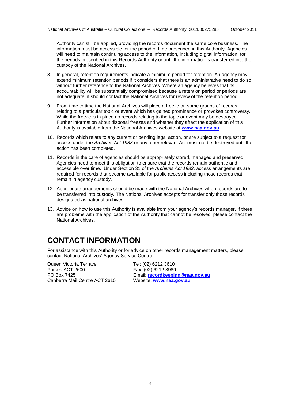the periods prescribed in this Records Authority or until the information is transferred into the custody of the National Archives. Authority can still be applied, providing the records document the same core business. The information must be accessible for the period of time prescribed in this Authority. Agencies will need to maintain continuing access to the information, including digital information, for

- without further reference to the National Archives. Where an agency believes that its not adequate, it should contact the National Archives for review of the retention period. 8. In general, retention requirements indicate a minimum period for retention. An agency may extend minimum retention periods if it considers that there is an administrative need to do so, accountability will be substantially compromised because a retention period or periods are
- 9. From time to time the National Archives will place a freeze on some groups of records relating to a particular topic or event which has gained prominence or provokes controversy. Further information about disposal freezes and whether they affect the application of this While the freeze is in place no records relating to the topic or event may be destroyed. Authority is available from the National Archives website at **[www.naa.gov.au](http://www.naa.gov.au/)**
- 10. Records which relate to any current or pending legal action, or are subject to a request for action has been completed. access under the *Archives Act 1983* or any other relevant Act must not be destroyed until the
- accessible over time. Under Section 31 of the *Archives Act 1983*, access arrangements are 11. Records in the care of agencies should be appropriately stored, managed and preserved. Agencies need to meet this obligation to ensure that the records remain authentic and required for records that become available for public access including those records that remain in agency custody.
- designated as national archives. 12. Appropriate arrangements should be made with the National Archives when records are to be transferred into custody. The National Archives accepts for transfer only those records
- 13. Advice on how to use this Authority is available from your agency's records manager. If there National Archives. are problems with the application of the Authority that cannot be resolved, please contact the

### **CONTACT INFORMATION**

 For assistance with this Authority or for advice on other records management matters, please contact National Archives' Agency Service Centre.

Canberra Mail Centre ACT 2610 Queen Victoria Terrace Tel: (02) 6212 3610 Parkes ACT 2600 Fax: (02) 6212 3989<br>PO Box 7425 Fax: Email: record keepin

 PO Box 7425 Email: **[recordkeeping@naa.gov.au](mailto:recordkeeping@naa.gov.au)** Website: **www.naa.gov.au**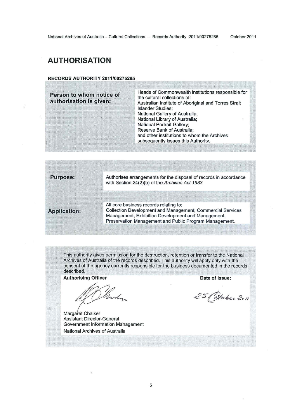### **AUTHORISATION**

#### **RECORDS AUTHORITY 2011/00275285**

**Person to whom notice of** Heads of Commonwealth institutions responsible for<br> **Person to whom notice of antitural collections of:**<br>
Australian Institute of Aboriginal and Torres Strait Australian Institute of Aboriginal and Torres Strait Islander Studies; National Gallery of Australia; National Library of Australia; National Portrait Gallery; Reserve Bank of Australia; and other institutions to whom the Archives subsequently issues this Authority.

| <b>Purpose:</b>     | Authorises arrangements for the disposal of records in accordance<br>with Section 24(2)(b) of the Archives Act 1983                                                                                                  |
|---------------------|----------------------------------------------------------------------------------------------------------------------------------------------------------------------------------------------------------------------|
|                     |                                                                                                                                                                                                                      |
| <b>Application:</b> | All core business records relating to:<br>Collection Development and Management, Commercial Services<br>Management, Exhibition Development and Management,<br>Preservation Management and Public Program Management. |
|                     |                                                                                                                                                                                                                      |

This authority gives permission for the destruction, retention or transfer to the National Archives of Australia of the records described. This authority will apply only with the consent of the agency currently responsible for the business documented in the records described.

**Authorising Officer Date of issue: Date of issue:** 

mar

Margaret Chalker Assistant Director-General Government Information Management National Archives of Australia

25 Colobu 2011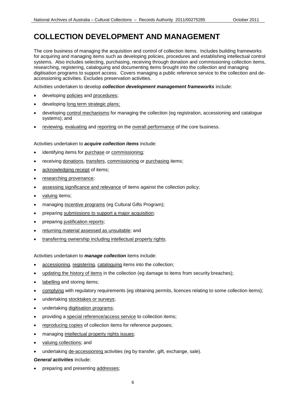### **COLLECTION DEVELOPMENT AND MANAGEMENT**

 systems. Also includes selecting, purchasing, receiving through donation and commissioning collection items, accessioning activities. Excludes preservation activities. The core business of managing the acquisition and control of collection items. Includes building frameworks for acquiring and managing items such as developing policies, procedures and establishing intellectual control researching, registering, cataloguing and documenting items brought into the collection and managing digitisation programs to support access. Covers managing a public reference service to the collection and de-

Activities undertaken to develop *collection development management frameworks* include:

- developing policies and procedures;
- developing long term strategic plans;
- developing control mechanisms for managing the collection (eg registration, accessioning and catalogue systems); and
- reviewing, evaluating and reporting on the overall performance of the core business.

#### Activities undertaken to *acquire collection items* include:

- identifying items for purchase or commissioning;
- **•** receiving donations, transfers, commissioning or purchasing items;
- acknowledging receipt of items;
- researching provenance;
- assessing significance and relevance of items against the collection policy;
- valuing items;
- managing incentive programs (eg Cultural Gifts Program);
- preparing submissions to support a major acquisition;
- preparing justification reports;
- returning material assessed as unsuitable; and
- transferring ownership including intellectual property rights.

Activities undertaken to *manage collection* items include:

- accessioning, registering, cataloguing items into the collection;
- updating the history of items in the collection (eg damage to items from security breaches);
- labelling and storing items;
- complying with regulatory requirements (eg obtaining permits, licences relating to some collection items);
- undertaking stocktakes or surveys;
- undertaking digitisation programs;
- providing a special reference/access service to collection items;
- reproducing copies of collection items for reference purposes;
- managing intellectual property rights issues;
- valuing collections; and
- undertaking de-accessioning activities (eg by transfer, gift, exchange, sale).
- *General activities* include:
- preparing and presenting addresses;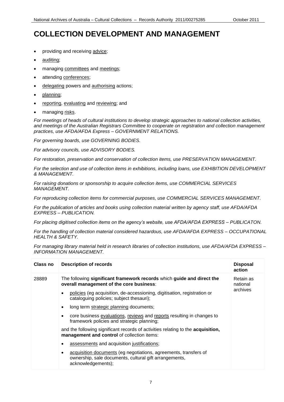## **COLLECTION DEVELOPMENT AND MANAGEMENT**

- providing and receiving advice;
- auditing;
- managing committees and meetings;
- attending conferences;
- delegating powers and authorising actions;
- planning;
- **•** reporting, evaluating and reviewing; and
- managing risks.

 *and meetings of the Australian Registrars Committee to cooperate on registration and collection management practices, use AFDA/AFDA Express – GOVERNMENT RELATIONS. For meetings of heads of cultural institutions to develop strategic approaches to national collection activities,* 

*For governing boards, use GOVERNING BODIES.*

*For advisory councils, use ADVISORY BODIES.* 

*For restoration, preservation and conservation of collection items, use PRESERVATION MANAGEMENT.*

*For the selection and use of collection items in exhibitions, including loans, use EXHIBITION DEVELOPMENT & MANAGEMENT.*

 *MANAGEMENT. For raising donations or sponsorship to acquire collection items, use COMMERCIAL SERVICES*

*For reproducing collection items for commercial purposes, use COMMERCIAL SERVICES MANAGEMENT.*

 *For the publication of articles and books using collection material written by agency staff, use AFDA/AFDA EXPRESS – PUBLICATION.* 

 *For placing digitised collection items on the agency's website, use AFDA/AFDA EXPRESS – PUBLICATON.*

 *For the handling of collection material considered hazardous, use AFDA/AFDA EXPRESS – OCCUPATIONAL HEALTH & SAFETY.* 

 *For managing library material held in research libraries of collection institutions, use AFDA/AFDA EXPRESS – INFORMATION MANAGEMENT.*

| Class no | <b>Description of records</b>                                                                                                                         | <b>Disposal</b><br>action |
|----------|-------------------------------------------------------------------------------------------------------------------------------------------------------|---------------------------|
| 28889    | The following significant framework records which guide and direct the<br>overall management of the core business:                                    | Retain as<br>national     |
|          | policies (eg acquisition, de-accessioning, digitisation, registration or<br>$\bullet$<br>cataloguing policies; subject thesauri);                     | archives                  |
|          | long term strategic planning documents;<br>٠                                                                                                          |                           |
|          | core business evaluations, reviews and reports resulting in changes to<br>framework policies and strategic planning;                                  |                           |
|          | and the following significant records of activities relating to the <b>acquisition</b> ,<br>management and control of collection items:               |                           |
|          | assessments and acquisition justifications;<br>٠                                                                                                      |                           |
|          | acquisition documents (eg negotiations, agreements, transfers of<br>٠<br>ownership, sale documents, cultural gift arrangements,<br>acknowledgements); |                           |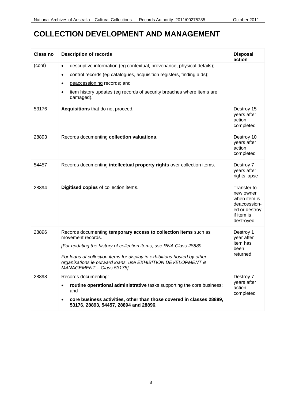### **COLLECTION DEVELOPMENT AND MANAGEMENT**

| Class no | <b>Description of records</b>                                                                                                                                                                                                                                                                                                          | <b>Disposal</b><br>action                                                                            |
|----------|----------------------------------------------------------------------------------------------------------------------------------------------------------------------------------------------------------------------------------------------------------------------------------------------------------------------------------------|------------------------------------------------------------------------------------------------------|
| (cont)   | descriptive information (eg contextual, provenance, physical details);<br>$\bullet$<br>control records (eg catalogues, acquisition registers, finding aids);<br>$\bullet$<br>deaccessioning records; and<br>$\bullet$<br>item history updates (eg records of security breaches where items are<br>$\bullet$<br>damaged).               |                                                                                                      |
| 53176    | Acquisitions that do not proceed.                                                                                                                                                                                                                                                                                                      | Destroy 15<br>years after<br>action<br>completed                                                     |
| 28893    | Records documenting collection valuations.                                                                                                                                                                                                                                                                                             | Destroy 10<br>years after<br>action<br>completed                                                     |
| 54457    | Records documenting intellectual property rights over collection items.                                                                                                                                                                                                                                                                | Destroy 7<br>years after<br>rights lapse                                                             |
| 28894    | Digitised copies of collection items.                                                                                                                                                                                                                                                                                                  | Transfer to<br>new owner<br>when item is<br>deaccession-<br>ed or destroy<br>if item is<br>destroyed |
| 28896    | Records documenting temporary access to collection items such as<br>movement records.<br>[For updating the history of collection items, use RNA Class 28889.<br>For loans of collection items for display in exhibitions hosted by other<br>organisations ie outward loans, use EXHIBITION DEVELOPMENT &<br>MANAGEMENT - Class 53178]. | Destroy 1<br>year after<br>item has<br>been<br>returned                                              |
| 28898    | Records documenting:<br>routine operational administrative tasks supporting the core business;<br>and<br>core business activities, other than those covered in classes 28889,<br>53176, 28893, 54457, 28894 and 28896.                                                                                                                 | Destroy 7<br>years after<br>action<br>completed                                                      |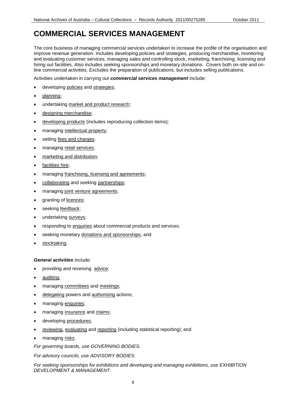### **COMMERCIAL SERVICES MANAGEMENT**

The core business of managing commercial services undertaken to increase the profile of the organisation and improve revenue generation. Includes developing policies and strategies, producing merchandise, monitoring and evaluating customer services, managing sales and controlling stock, marketing, franchising, licensing and hiring out facilities. Also includes seeking sponsorships and monetary donations. Covers both on-site and online commercial activities. Excludes the preparation of publications, but includes selling publications.

Activities undertaken in carrying out *commercial services management* include:

- **•** developing policies and strategies;
- planning;
- undertaking market and product research;
- designing merchandise;
- **e** developing products (includes reproducing collection items);
- managing intellectual property;
- setting fees and charges;
- managing retail services;
- marketing and distribution;
- facilities hire;
- managing franchising, licensing and agreements;
- collaborating and seeking partnerships;
- managing joint venture agreements;
- granting of licences;
- seeking feedback;
- undertaking surveys;
- **•** responding to enquiries about commercial products and services;
- seeking monetary donations and sponsorships; and
- stocktaking.

#### *General activities* include:

- providing and receiving advice;
- auditing;
- managing committees and meetings;
- delegating powers and authorising actions;
- managing enquiries;
- managing insurance and claims;
- developing procedures;
- reviewing, evaluating and reporting (including statistical reporting); and
- managing risks.

*For governing boards, use GOVERNING BODIES.* 

*For advisory councils, use ADVISORY BODIES.* 

 *DEVELOPMENT & MANAGEMENT. For seeking sponsorships for exhibitions and developing and managing exhibitions, use EXHIBITION*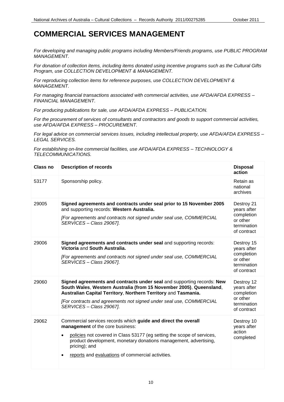### **COMMERCIAL SERVICES MANAGEMENT**

*For developing and managing public programs including Members/Friends programs, use PUBLIC PROGRAM MANAGEMENT.* 

 *Program, use COLLECTION DEVELOPMENT & MANAGEMENT. For donation of collection items, including items donated using incentive programs such as the Cultural Gifts* 

*For reproducing collection items for reference purposes, use COLLECTION DEVELOPMENT & MANAGEMENT.* 

 *For managing financial transactions associated with commercial activities, use AFDA/AFDA EXPRESS – FINANCIAL MANAGEMENT.* 

 *For producing publications for sale, use AFDA/AFDA EXPRESS – PUBLICATION.* 

 *use AFDA/AFDA EXPRESS – PROCUREMENT. For the procurement of services of consultants and contractors and goods to support commercial activities,* 

 *For legal advice on commercial services issues, including intellectual property, use AFDA/AFDA EXPRESS – LEGAL SERVICES.* 

 *For establishing on-line commercial facilities, use AFDA/AFDA EXPRESS – TECHNOLOGY & TELECOMMUNICATIONS.* 

| <b>Class no</b> | <b>Description of records</b>                                                                                                                                                                                                                                                                                                       | <b>Disposal</b><br>action                                                         |
|-----------------|-------------------------------------------------------------------------------------------------------------------------------------------------------------------------------------------------------------------------------------------------------------------------------------------------------------------------------------|-----------------------------------------------------------------------------------|
| 53177           | Sponsorship policy.                                                                                                                                                                                                                                                                                                                 | Retain as<br>national<br>archives                                                 |
| 29005           | Signed agreements and contracts under seal prior to 15 November 2005<br>and supporting records: Western Australia.<br>[For agreements and contracts not signed under seal use, COMMERCIAL<br>SERVICES - Class 29067].                                                                                                               | Destroy 21<br>years after<br>completion<br>or other<br>termination<br>of contract |
| 29006           | Signed agreements and contracts under seal and supporting records:<br>Victoria and South Australia.<br>[For agreements and contracts not signed under seal use, COMMERCIAL<br>SERVICES - Class 29067].                                                                                                                              | Destroy 15<br>years after<br>completion<br>or other<br>termination<br>of contract |
| 29060           | Signed agreements and contracts under seal and supporting records: New<br>South Wales, Western Australia (from 15 November 2005), Queensland,<br>Australian Capital Territory, Northern Territory and Tasmania.<br>[For contracts and agreements not signed under seal use, COMMERCIAL<br>SERVICES - Class 29067].                  | Destroy 12<br>years after<br>completion<br>or other<br>termination<br>of contract |
| 29062           | Commercial services records which guide and direct the overall<br>management of the core business:<br>policies not covered in Class 53177 (eg setting the scope of services,<br>product development, monetary donations management, advertising,<br>pricing); and<br>reports and evaluations of commercial activities.<br>$\bullet$ | Destroy 10<br>years after<br>action<br>completed                                  |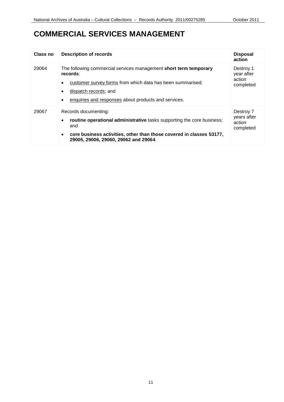### **COMMERCIAL SERVICES MANAGEMENT**

| Class no | <b>Description of records</b>                                                                                                                                                                                                                    | <b>Disposal</b><br>action                       |
|----------|--------------------------------------------------------------------------------------------------------------------------------------------------------------------------------------------------------------------------------------------------|-------------------------------------------------|
| 29064    | The following commercial services management short term temporary<br>records:<br>customer survey forms from which data has been summarised;<br>dispatch records; and<br>٠<br>enquiries and responses about products and services.<br>٠           | Destroy 1<br>year after<br>action<br>completed  |
| 29067    | Records documenting:<br>routine operational administrative tasks supporting the core business;<br>$\bullet$<br>and<br>core business activities, other than those covered in classes 53177,<br>$\bullet$<br>29005, 29006, 29060, 29062 and 29064. | Destroy 7<br>years after<br>action<br>completed |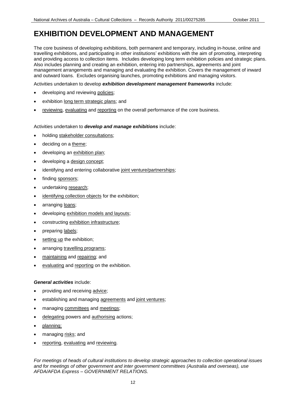### **EXHIBITION DEVELOPMENT AND MANAGEMENT**

 The core business of developing exhibitions, both permanent and temporary, including in-house, online and travelling exhibitions, and participating in other institutions' exhibitions with the aim of promoting, interpreting Also includes planning and creating an exhibition, entering into partnerships, agreements and joint and outward loans. Excludes organising launches, promoting exhibitions and managing visitors. and providing access to collection items. Includes developing long term exhibition policies and strategic plans. management arrangements and managing and evaluating the exhibition. Covers the management of inward

Activities undertaken to develop *exhibition development management frameworks* include:

- developing and reviewing policies;
- exhibition long term strategic plans; and
- **•** reviewing, evaluating and reporting on the overall performance of the core business.

#### Activities undertaken to *develop and manage exhibitions* include:

- holding stakeholder consultations;
- deciding on a theme;
- developing an exhibition plan;
- developing a design concept;
- identifying and entering collaborative joint venture/partnerships;
- finding sponsors;
- undertaking research;
- identifying collection objects for the exhibition;
- arranging loans;
- developing exhibition models and layouts;
- constructing exhibition infrastructure;
- preparing labels;
- setting up the exhibition;
- arranging travelling programs;
- maintaining and repairing; and
- evaluating and reporting on the exhibition.

#### *General activities* include:

- providing and receiving advice;
- establishing and managing agreements and joint ventures;
- managing committees and meetings;
- delegating powers and authorising actions;
- planning;
- managing risks; and
- reporting, evaluating and reviewing.

 *For meetings of heads of cultural institutions to develop strategic approaches to collection operational issues and for meetings of other government and inter government committees (Australia and overseas), use AFDA/AFDA Express – GOVERNMENT RELATIONS.*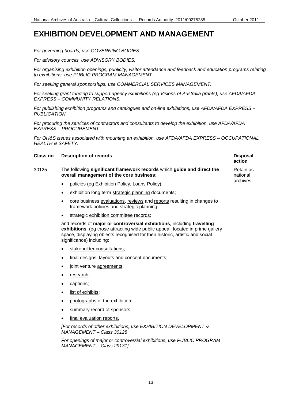**action** 

Retain as national archives

### **EXHIBITION DEVELOPMENT AND MANAGEMENT**

*For governing boards, use GOVERNING BODIES.*

*For advisory councils, use ADVISORY BODIES.* 

*For organising exhibition openings, publicity, visitor attendance and feedback and education programs relating to exhibitions, use PUBLIC PROGRAM MANAGEMENT.* 

*For seeking general sponsorships, use COMMERCIAL SERVICES MANAGEMENT.*

 *EXPRESS – COMMUNITY RELATIONS. For seeking grant funding to support agency exhibitions (eg Visions of Australia grants), use AFDA/AFDA*

 *For publishing exhibition programs and catalogues and on-line exhibitions, use AFDA/AFDA EXPRESS – PUBLICATION.*

 *EXPRESS – PROCUREMENT. For procuring the services of contractors and consultants to develop the exhibition, use AFDA/AFDA*

 *For OH&S issues associated with mounting an exhibition, use AFDA/AFDA EXPRESS – OCCUPATIONAL HEALTH & SAFETY.*

| <b>Class no</b> Description of records | <b>Disposal</b> |
|----------------------------------------|-----------------|
|                                        |                 |

- 30125 The following **significant framework records** which **guide and direct the overall management of the core business**:
	- policies (eg Exhibition Policy, Loans Policy);
	- **exhibition long term strategic planning documents;**
	- core business evaluations, reviews and reports resulting in changes to framework policies and strategic planning;
	- strategic exhibition committee records;

 and records of **major or controversial exhibitions**, including **travelling exhibitions**, (eg those attracting wide public appeal, located in prime gallery space, displaying objects recognised for their historic, artistic and social significance) including:

- stakeholder consultations;
- final designs, layouts and concept documents;
- joint venture agreements;
- research;
- captions;
- list of exhibits;
- photographs of the exhibition;
- summary record of sponsors;
- final evaluation reports.

 *[For records of other exhibitions, use EXHIBITION DEVELOPMENT & MANAGEMENT – Class 30128* 

*For openings of major or controversial exhibitions, use PUBLIC PROGRAM MANAGEMENT – Class 29131].*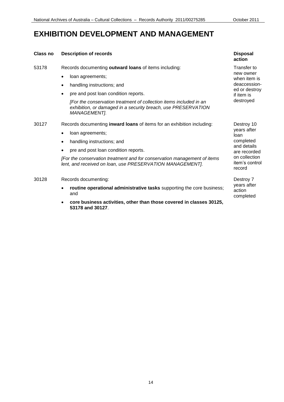### **EXHIBITION DEVELOPMENT AND MANAGEMENT**

#### **Class no Description of records**

53178 Records documenting **outward loans** of items including:

- loan agreements;
- handling instructions; and
- pre and post loan condition reports.

*[For the conservation treatment of collection items included in an exhibition, or damaged in a security breach, use PRESERVATION MANAGEMENT].* 

- 30127 Records documenting **inward loans** of items for an exhibition including:
	- loan agreements;
	- handling instructions; and
	- pre and post loan condition reports.

 *[For the conservation treatment and for conservation management of items lent, and received on loan, use PRESERVATION MANAGEMENT].* 

- 30128 Records documenting:
	- **routine operational administrative tasks** supporting the core business; and
	- **core business activities, other than those covered in classes 30125, 53178 and 30127**.

#### **Disposal action**

 when item is Transfer to new owner deaccessioned or destroy if item is destroyed

Destroy 10 years after loan completed and details are recorded on collection item's control record

Destroy 7 years after action completed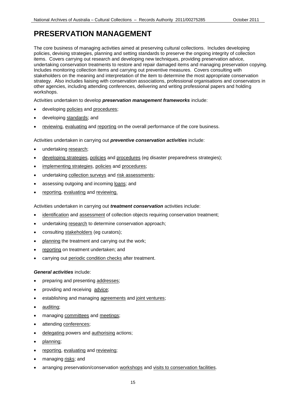### **PRESERVATION MANAGEMENT**

 Includes monitoring collection items and carrying out preventive measures. Covers consulting with strategy. Also includes liaising with conservation associations, professional organisations and conservators in other agencies, including attending conferences, delivering and writing professional papers and holding The core business of managing activities aimed at preserving cultural collections. Includes developing policies, devising strategies, planning and setting standards to preserve the ongoing integrity of collection items. Covers carrying out research and developing new techniques, providing preservation advice, undertaking conservation treatments to restore and repair damaged items and managing preservation copying. stakeholders on the meaning and interpretation of the item to determine the most appropriate conservation workshops.

Activities undertaken to develop *preservation management frameworks* include:

- **•** developing policies and procedures;
- developing standards; and
- **•** reviewing, evaluating and reporting on the overall performance of the core business.

### Activities undertaken in carrying out *preventive conservation activities* include:

- undertaking research;
- developing strategies, policies and procedures (eg disaster preparedness strategies);
- **•** implementing strategies, policies and procedures;
- undertaking collection surveys and risk assessments;
- assessing outgoing and incoming loans; and
- **•** reporting, evaluating and reviewing.

Activities undertaken in carrying out *treatment conservation* activities include:

- **•** identification and assessment of collection objects requiring conservation treatment;
- undertaking research to determine conservation approach;
- consulting stakeholders (eg curators);
- planning the treatment and carrying out the work;
- reporting on treatment undertaken; and
- carrying out periodic condition checks after treatment.

#### *General activities* include:

- preparing and presenting addresses;
- providing and receiving advice;
- establishing and managing agreements and joint ventures;
- auditing;
- managing committees and meetings;
- attending conferences;
- delegating powers and authorising actions;
- planning;
- reporting, evaluating and reviewing;
- managing risks; and
- **•** arranging preservation/conservation workshops and visits to conservation facilities.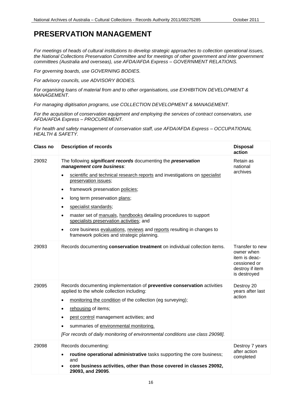### **PRESERVATION MANAGEMENT**

 *committees (Australia and overseas), use AFDA/AFDA Express – GOVERNMENT RELATIONS. For meetings of heads of cultural institutions to develop strategic approaches to collection operational issues, the National Collections Preservation Committee and for meetings of other government and inter government* 

*For governing boards, use GOVERNING BODIES.* 

*For advisory councils, use ADVISORY BODIES.* 

 *For organising loans of material from and to other organisations, use EXHIBITION DEVELOPMENT & MANAGEMENT.* 

 *For managing digitisation programs, use COLLECTION DEVELOPMENT & MANAGEMENT.* 

 *AFDA/AFDA Express – PROCUREMENT. For the acquisition of conservation equipment and employing the services of contract conservators, use* 

 *For health and safety management of conservation staff, use AFDA/AFDA Express – OCCUPATIONAL HEALTH & SAFETY.* 

| Class no | <b>Description of records</b>                                                                                                                                                                                                                                                                                                                                                                                                                                                                                                                        | <b>Disposal</b><br>action                                                                         |
|----------|------------------------------------------------------------------------------------------------------------------------------------------------------------------------------------------------------------------------------------------------------------------------------------------------------------------------------------------------------------------------------------------------------------------------------------------------------------------------------------------------------------------------------------------------------|---------------------------------------------------------------------------------------------------|
| 29092    | The following significant records documenting the preservation<br>management core business:<br>scientific and technical research reports and investigations on specialist<br>$\bullet$<br>preservation issues;<br>framework preservation policies;<br>long term preservation plans;<br>specialist standards;<br>master set of manuals, handbooks detailing procedures to support<br>specialists preservation activities; and<br>core business evaluations, reviews and reports resulting in changes to<br>framework policies and strategic planning. | Retain as<br>national<br>archives                                                                 |
| 29093    | Records documenting conservation treatment on individual collection items.                                                                                                                                                                                                                                                                                                                                                                                                                                                                           | Transfer to new<br>owner when<br>item is deac-<br>cessioned or<br>destroy if item<br>is destroyed |
| 29095    | Records documenting implementation of preventive conservation activities<br>applied to the whole collection including:<br>monitoring the condition of the collection (eg surveying);<br>rehousing of items;<br>pest control management activities; and<br>summaries of environmental monitoring.<br>[For records of daily monitoring of environmental conditions use class 29098].                                                                                                                                                                   | Destroy 20<br>years after last<br>action                                                          |
| 29098    | Records documenting:<br>routine operational administrative tasks supporting the core business;<br>$\bullet$<br>and<br>core business activities, other than those covered in classes 29092,<br>29093, and 29095.                                                                                                                                                                                                                                                                                                                                      | Destroy 7 years<br>after action<br>completed                                                      |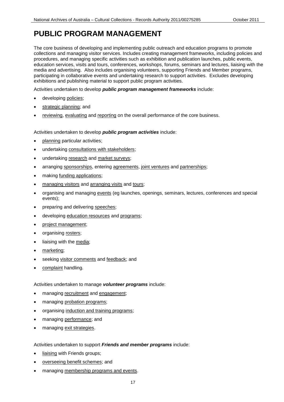### **PUBLIC PROGRAM MANAGEMENT**

The core business of developing and implementing public outreach and education programs to promote collections and managing visitor services. Includes creating management frameworks, including policies and procedures, and managing specific activities such as exhibition and publication launches, public events, education services, visits and tours, conferences, workshops, forums, seminars and lectures, liaising with the media and advertising. Also includes organising volunteers, supporting Friends and Member programs, participating in collaborative events and undertaking research to support activities. Excludes developing exhibitions and publishing material to support public program activities.

Activities undertaken to develop *public program management frameworks* include:

- **developing policies;**
- strategic planning; and
- **•** reviewing, evaluating and reporting on the overall performance of the core business.

#### Activities undertaken to develop *public program activities* include:

- planning particular activities;
- undertaking consultations with stakeholders;
- undertaking research and market surveys;
- arranging sponsorships, entering agreements, joint ventures and partnerships;
- making funding applications;
- managing visitors and arranging visits and tours;
- organising and managing events (eg launches, openings, seminars, lectures, conferences and special events);
- preparing and delivering speeches;
- developing education resources and programs;
- project management;
- organising rosters;
- liaising with the media;
- marketing;
- seeking visitor comments and feedback; and
- complaint handling.

Activities undertaken to manage *volunteer programs* include:

- managing recruitment and engagement;
- managing probation programs;
- organising induction and training programs;
- managing performance; and
- managing exit strategies.

#### Activities undertaken to support *Friends and member programs* include:

- liaising with Friends groups;
- overseeing benefit schemes; and
- managing membership programs and events.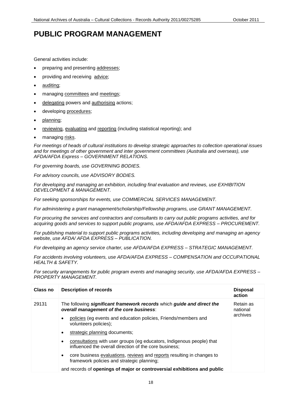### **PUBLIC PROGRAM MANAGEMENT**

General activities include:

- preparing and presenting addresses;
- providing and receiving advice;
- auditing;
- managing committees and meetings;
- delegating powers and authorising actions;
- developing procedures;
- planning;
- reviewing, evaluating and reporting (including statistical reporting); and
- managing risks.

 *For meetings of heads of cultural institutions to develop strategic approaches to collection operational issues and for meetings of other government and inter government committees (Australia and overseas), use AFDA/AFDA Express – GOVERNMENT RELATIONS.* 

*For governing boards, use GOVERNING BODIES.*

*For advisory councils, use ADVISORY BODIES.* 

 *DEVELOPMENT & MANAGEMENT. For developing and managing an exhibition, including final evaluation and reviews, use EXHIBITION* 

*For seeking sponsorships for events, use COMMERCIAL SERVICES MANAGEMENT.* 

*For administering a grant management/scholarship/Fellowship programs, use GRANT MANAGEMENT.* 

 *acquiring goods and services to support public programs, use AFDA/AFDA EXPRESS – PROCUREMENT. For procuring the services and contractors and consultants to carry out public programs activities, and for* 

 *For publishing material to support public programs activities, including developing and managing an agency website, use AFDA/ AFDA EXPRESS – PUBLICATION.*

 *For developing an agency service charter, use AFDA/AFDA EXPRESS – STRATEGIC MANAGEMENT.*

 *For accidents involving volunteers, use AFDA/AFDA EXPRESS – COMPENSATION and OCCUPATIONAL HEALTH & SAFETY.*

 *For security arrangements for public program events and managing security, use AFDA/AFDA EXPRESS – PROPERTY MANAGEMENT.*

| Class no | <b>Description of records</b>                                                                                                     | <b>Disposal</b><br>action |
|----------|-----------------------------------------------------------------------------------------------------------------------------------|---------------------------|
| 29131    | The following significant framework records which guide and direct the<br>overall management of the core business:                | Retain as<br>national     |
|          | policies (eg events and education policies, Friends/members and<br>volunteers policies);                                          | archives                  |
|          | strategic planning documents;<br>$\bullet$                                                                                        |                           |
|          | consultations with user groups (eg educators, Indigenous people) that<br>influenced the overall direction of the core business;   |                           |
|          | core business evaluations, reviews and reports resulting in changes to<br>$\bullet$<br>framework policies and strategic planning; |                           |
|          | and records of openings of major or controversial exhibitions and public                                                          |                           |